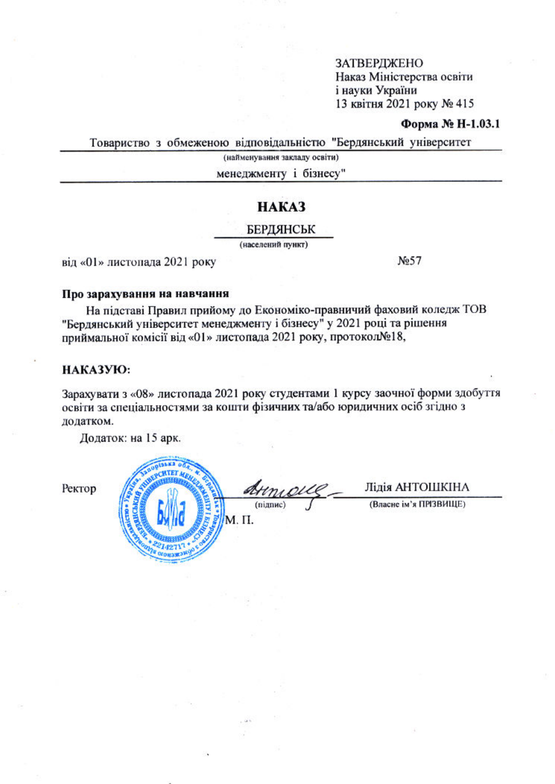#### Форма № Н-1.03.1

Товариство з обмеженою відповідальністю "Бердянський університет

(найменування закладу освіти)

менеджменту і бізнесу"

### **HAKA3**

БЕРДЯНСЬК

(населений пункт)

від «01» листопада 2021 року

No 57

#### Про зарахування на навчання

На підставі Правил прийому до Економіко-правничий фаховий коледж ТОВ "Бердянський університет менеджменту і бізнесу" у 2021 році та рішення приймальної комісії від «01» листопада 2021 року, протокол№18,

#### НАКАЗУЮ:

Зарахувати з «08» листопада 2021 року студентами 1 курсу заочної форми здобуття освіти за спеціальностями за кошти фізичних та/або юридичних осіб згідно з додатком.

Додаток: на 15 арк.

Рект

| Armour.           | Лідія АНТОШКІНА        |
|-------------------|------------------------|
| (підпис)<br>М. П. | (Власне ім'я ПРІЗВИЩЕ) |
|                   |                        |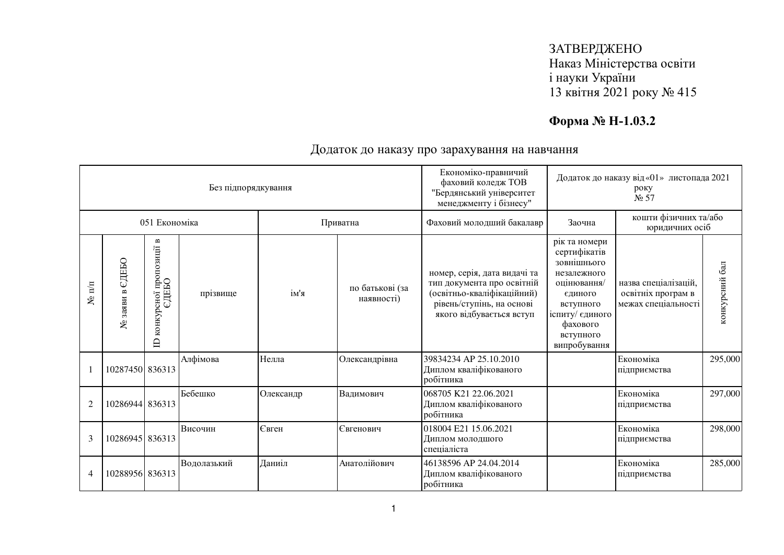# **Форма № Н-1.03.2**

|                      |                    |                                                         | Без підпорядкування |           |                               | Економіко-правничий<br>Додаток до наказу від «01» листопада 2021<br>фаховий коледж ТОВ<br>року<br>"Бердянський університет<br>$N0$ 57<br>менеджменту і бізнесу" |                                                                                                                                                                |                                                                   |                |
|----------------------|--------------------|---------------------------------------------------------|---------------------|-----------|-------------------------------|-----------------------------------------------------------------------------------------------------------------------------------------------------------------|----------------------------------------------------------------------------------------------------------------------------------------------------------------|-------------------------------------------------------------------|----------------|
|                      |                    | 051 Економіка                                           |                     | Приватна  |                               | Фаховий молодший бакалавр                                                                                                                                       | Заочна                                                                                                                                                         | кошти фізичних та/або<br>юридичних осіб                           |                |
| $N$ <sup>2</sup> π/π | ЄДЕБО<br>№ заяви в | сної пропозиції в<br>ЄДЕБО<br>конкурсної<br>$\triangle$ | прізвище            | ім'я      | по батькові (за<br>наявності) | номер, серія, дата видачі та<br>тип документа про освітній<br>(освітньо-кваліфікаційний)<br>рівень/ступінь, на основі<br>якого відбувається вступ               | рік та номери<br>сертифікатів<br>зовнішнього<br>незалежного<br>оцінювання/<br>єдиного<br>вступного<br>іспиту/ єдиного<br>фахового<br>вступного<br>випробування | назва спеціалізацій,<br>освітніх програм в<br>межах спеціальності | конкурсний бал |
|                      | 10287450 836313    |                                                         | Алфімова            | Нелла     | Олександрівна                 | 39834234 AP 25.10.2010<br>Диплом кваліфікованого<br>робітника                                                                                                   |                                                                                                                                                                | Економіка<br>підприємства                                         | 295,000        |
| $\overline{2}$       | 10286944 836313    |                                                         | Бебешко             | Олександр | Вадимович                     | 068705 K21 22.06.2021<br>Диплом кваліфікованого<br>робітника                                                                                                    |                                                                                                                                                                | Економіка<br>підприємства                                         | 297,000        |
| 3                    | 10286945 836313    |                                                         | Височин             | Євген     | Євгенович                     | 018004 E21 15.06.2021<br>Диплом молодшого<br>спеціаліста                                                                                                        |                                                                                                                                                                | Економіка<br>підприємства                                         | 298,000        |
| 4                    | 10288956 836313    |                                                         | Водолазький         | Даниіл    | Анатолійович                  | 46138596 AP 24.04.2014<br>Диплом кваліфікованого<br>робітника                                                                                                   |                                                                                                                                                                | Економіка<br>підприємства                                         | 285,000        |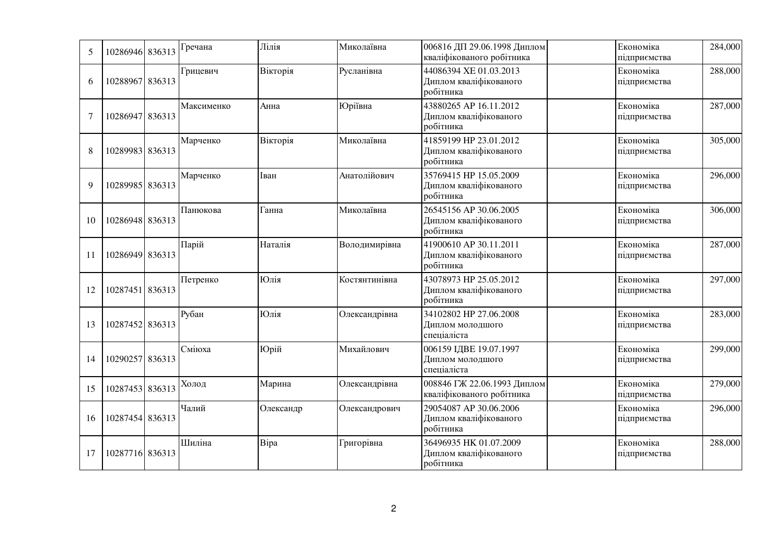| 5              | 10286946 836313 | Гречана    | Лілія     | Миколаївна    | 006816 ДП 29.06.1998 Диплом<br>кваліфікованого робітника      | Економіка<br>підприємства | 284,000 |
|----------------|-----------------|------------|-----------|---------------|---------------------------------------------------------------|---------------------------|---------|
| 6              | 10288967 836313 | Грицевич   | Вікторія  | Русланівна    | 44086394 XE 01.03.2013<br>Диплом кваліфікованого<br>робітника | Економіка<br>підприємства | 288,000 |
| $\overline{7}$ | 10286947 836313 | Максименко | Анна      | Юріївна       | 43880265 AP 16.11.2012<br>Диплом кваліфікованого<br>робітника | Економіка<br>підприємства | 287,000 |
| 8              | 10289983 836313 | Марченко   | Вікторія  | Миколаївна    | 41859199 HP 23.01.2012<br>Диплом кваліфікованого<br>робітника | Економіка<br>підприємства | 305,000 |
| $\mathbf Q$    | 10289985 836313 | Марченко   | Іван      | Анатолійович  | 35769415 HP 15.05.2009<br>Диплом кваліфікованого<br>робітника | Економіка<br>підприємства | 296,000 |
| 10             | 10286948 836313 | Панюкова   | Ганна     | Миколаївна    | 26545156 AP 30.06.2005<br>Диплом кваліфікованого<br>робітника | Економіка<br>підприємства | 306,000 |
| 11             | 10286949 836313 | Парій      | Наталія   | Володимирівна | 41900610 AP 30.11.2011<br>Диплом кваліфікованого<br>робітника | Економіка<br>підприємства | 287,000 |
| 12             | 10287451 836313 | Петренко   | Юлія      | Костянтинівна | 43078973 HP 25.05.2012<br>Диплом кваліфікованого<br>робітника | Економіка<br>підприємства | 297,000 |
| 13             | 10287452 836313 | Рубан      | Юлія      | Олександрівна | 34102802 HP 27.06.2008<br>Диплом молодшого<br>спеціаліста     | Економіка<br>підприємства | 283,000 |
| 14             | 10290257 836313 | Сміюха     | Юрій      | Михайлович    | 006159 ІДВЕ 19.07.1997<br>Диплом молодшого<br>спеціаліста     | Економіка<br>підприємства | 299,000 |
| 15             | 10287453 836313 | Холод      | Марина    | Олександрівна | 008846 ГЖ 22.06.1993 Диплом<br>кваліфікованого робітника      | Економіка<br>підприємства | 279,000 |
| 16             | 10287454 836313 | Чалий      | Олександр | Олександрович | 29054087 AP 30.06.2006<br>Диплом кваліфікованого<br>робітника | Економіка<br>підприємства | 296,000 |
| 17             | 10287716 836313 | Шиліна     | Bipa      | Григорівна    | 36496935 HK 01.07.2009<br>Диплом кваліфікованого<br>робітника | Економіка<br>підприємства | 288,000 |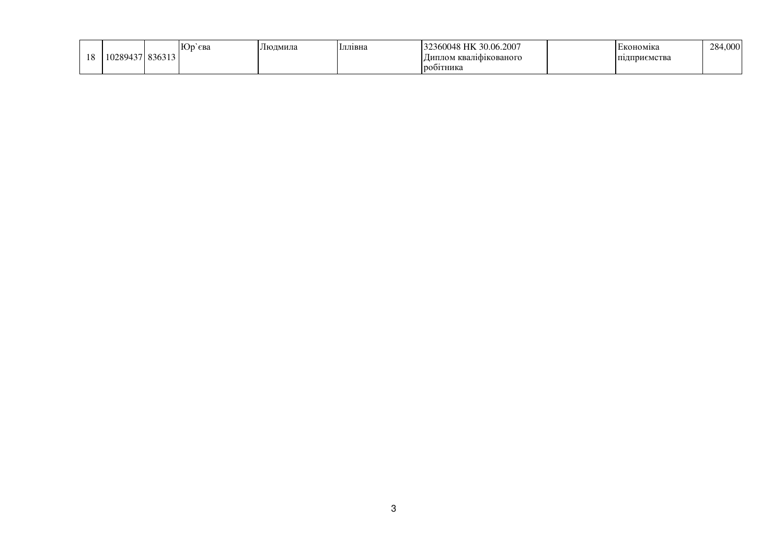|          |       | сва | Людмила | Іллівна | ,0.06.2007<br>$\cdot$ $\sim$ | кономіка        | $\Omega$<br>284,000 |
|----------|-------|-----|---------|---------|------------------------------|-----------------|---------------------|
| 10<br>10 | ,,,,, |     |         |         | 4 квалификованого<br>⊔иплом  | . MU I<br>. он. |                     |
|          |       |     |         |         | <b>О1ТНИКа</b>               |                 |                     |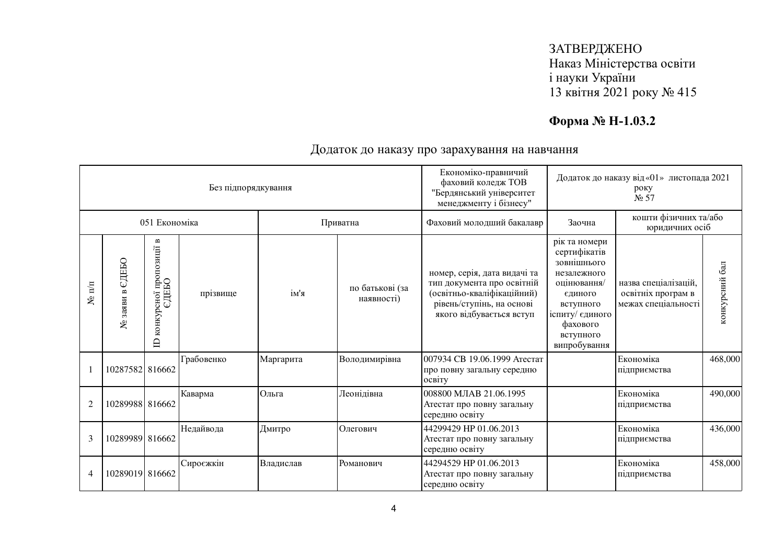# **Форма № Н-1.03.2**

|                |                    |                                                                          | Без підпорядкування |           |                               | Економіко-правничий<br>Додаток до наказу від «01» листопада 2021<br>фаховий коледж ТОВ<br>року<br>"Бердянський університет<br>N <sub>2</sub> 57<br>менеджменту і бізнесу" |                                                                                                                                                                |                                                                   |                |
|----------------|--------------------|--------------------------------------------------------------------------|---------------------|-----------|-------------------------------|---------------------------------------------------------------------------------------------------------------------------------------------------------------------------|----------------------------------------------------------------------------------------------------------------------------------------------------------------|-------------------------------------------------------------------|----------------|
|                |                    | 051 Економіка                                                            |                     | Приватна  |                               | Фаховий молодший бакалавр                                                                                                                                                 | Заочна                                                                                                                                                         | кошти фізичних та/або<br>юридичних осіб                           |                |
| $N$ е п $/\pi$ | ЄДЕБО<br>№ заяви в | $\mathbf{m}$<br>осної пропозиції в<br>ЄДЕБО<br>конкурсної<br>$\triangle$ | прізвище            | ім'я      | по батькові (за<br>наявності) | номер, серія, дата видачі та<br>тип документа про освітній<br>(освітньо-кваліфікаційний)<br>рівень/ступінь, на основі<br>якого відбувається вступ                         | рік та номери<br>сертифікатів<br>зовнішнього<br>незалежного<br>оцінювання/<br>єдиного<br>вступного<br>іспиту/ єдиного<br>фахового<br>вступного<br>випробування | назва спеціалізацій,<br>освітніх програм в<br>межах спеціальності | конкурсний бал |
|                | 10287582 816662    |                                                                          | Грабовенко          | Маргарита | Володимирівна                 | 007934 СВ 19.06.1999 Атестат<br>про повну загальну середню<br>освіту                                                                                                      |                                                                                                                                                                | Економіка<br>підприємства                                         | 468,000        |
| $\overline{2}$ | 10289988 816662    |                                                                          | Каварма             | Ольга     | Леонідівна                    | 008800 МЛАВ 21.06.1995<br>Атестат про повну загальну<br>середню освіту                                                                                                    |                                                                                                                                                                | Економіка<br>підприємства                                         | 490,000        |
| 3              | 10289989 816662    |                                                                          | Недайвода           | Дмитро    | Олегович                      | 44299429 HP 01.06.2013<br>Атестат про повну загальну<br>середню освіту                                                                                                    |                                                                                                                                                                | Економіка<br>підприємства                                         | 436,000        |
| 4              | 10289019 816662    |                                                                          | Сироєжкін           | Владислав | Романович                     | 44294529 HP 01.06.2013<br>Атестат про повну загальну<br>середню освіту                                                                                                    |                                                                                                                                                                | Економіка<br>підприємства                                         | 458,000        |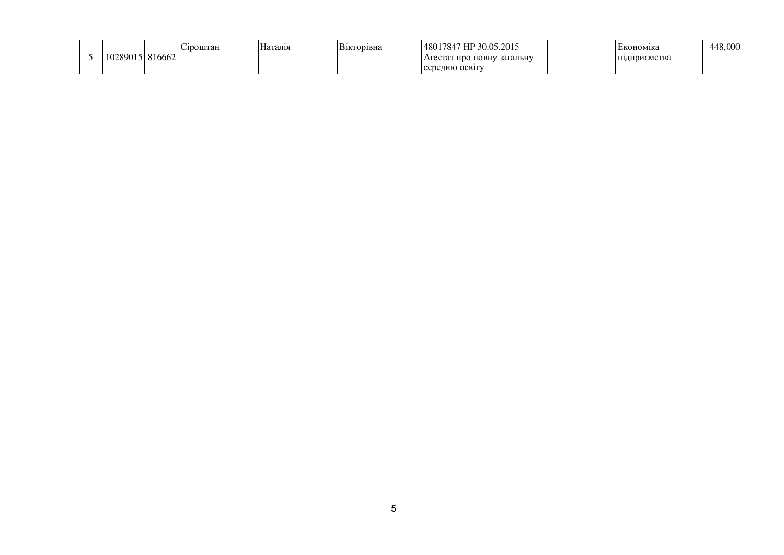|         |        | лроштан | Наталія | Вікторівна | <sup>7</sup> HP 30.05.2015<br>148017847 | :кономіка    | 448.0001 |
|---------|--------|---------|---------|------------|-----------------------------------------|--------------|----------|
| 0289015 | 816662 |         |         |            | Атестат про повну загальну              | підприємства |          |
|         |        |         |         |            | середню освіту                          |              |          |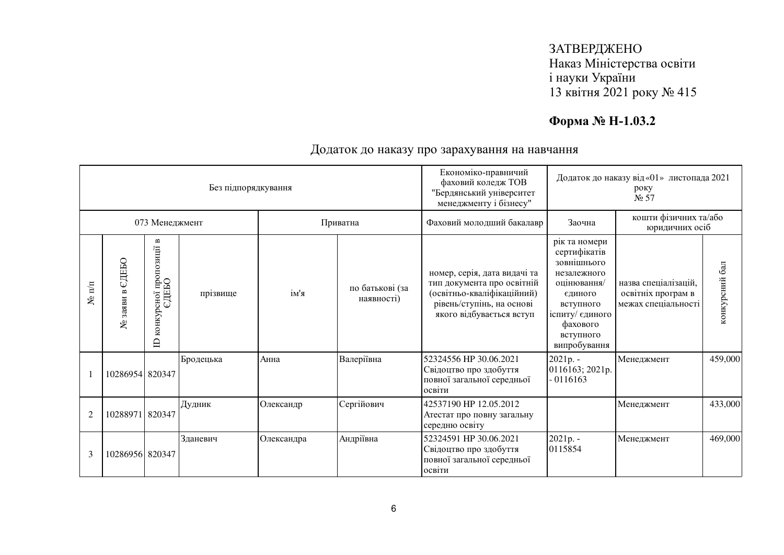# **Форма № Н-1.03.2**

|                  |                    |                                                  | Без підпорядкування |            |                               | Економіко-правничий<br>фаховий коледж ТОВ<br>"Бердянський університет<br>менеджменту і бізнесу"                                                   | Додаток до наказу від «01» листопада 2021<br>року<br>N <sub>2</sub> 57                                                                                         |                                                                   |                |
|------------------|--------------------|--------------------------------------------------|---------------------|------------|-------------------------------|---------------------------------------------------------------------------------------------------------------------------------------------------|----------------------------------------------------------------------------------------------------------------------------------------------------------------|-------------------------------------------------------------------|----------------|
|                  |                    | 073 Менеджмент                                   |                     | Приватна   |                               | Фаховий молодший бакалавр                                                                                                                         | Заочна                                                                                                                                                         | кошти фізичних та/або<br>юридичних осіб                           |                |
| $\mathbf{N}$ π/π | ЄДЕБО<br>№ заяви в | конкурсної пропозиції в<br>ЄДЕБО<br>$\mathbf{D}$ | прізвище            | ім'я       | по батькові (за<br>наявності) | номер, серія, дата видачі та<br>тип документа про освітній<br>(освітньо-кваліфікаційний)<br>рівень/ступінь, на основі<br>якого відбувається вступ | рік та номери<br>сертифікатів<br>зовнішнього<br>незалежного<br>оцінювання/<br>єдиного<br>вступного<br>іспиту/ єдиного<br>фахового<br>вступного<br>випробування | назва спеціалізацій,<br>освітніх програм в<br>межах спеціальності | конкурсний бал |
|                  | 10286954 820347    |                                                  | Бродецька           | Анна       | Валеріївна                    | 52324556 HP 30.06.2021<br>Свідоцтво про здобуття<br>повної загальної середньої<br>освіти                                                          | 2021p. -<br>0116163; 2021p.<br>$-0116163$                                                                                                                      | Менеджмент                                                        | 459,000        |
| $\overline{2}$   | 10288971 820347    |                                                  | Дудник              | Олександр  | Сергійович                    | 42537190 HP 12.05.2012<br>Атестат про повну загальну<br>середню освіту                                                                            |                                                                                                                                                                | Менеджмент                                                        | 433,000        |
| 3                | 10286956 820347    |                                                  | Зданевич            | Олександра | Андріївна                     | 52324591 HP 30.06.2021<br>Свідоцтво про здобуття<br>повної загальної середньої<br>освіти                                                          | 2021p. -<br>0115854                                                                                                                                            | Менеджмент                                                        | 469,000        |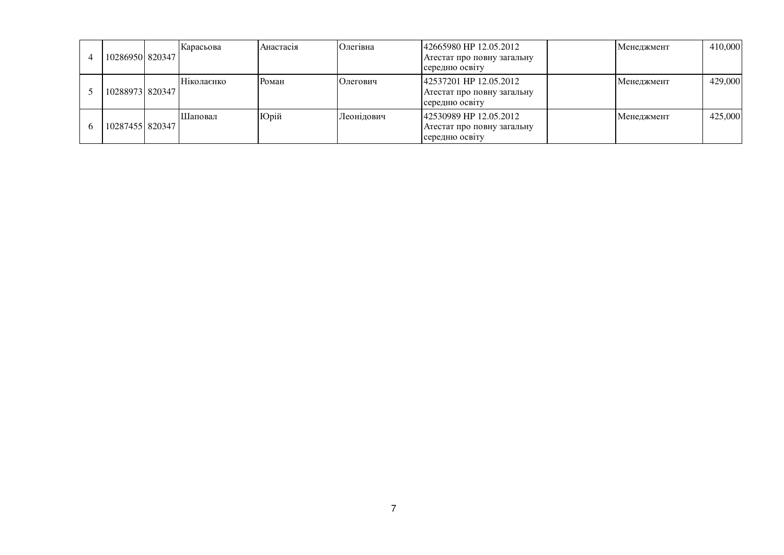| 1028695018203471 | Карасьова  | Анастасія | Олегівна   | 42665980 HP 12.05.2012<br>Атестат про повну загальну<br>середню освіту  | <b>Иенеджмент</b> | 410,000 |
|------------------|------------|-----------|------------|-------------------------------------------------------------------------|-------------------|---------|
| 1028897318203471 | Ніколаєнко | Роман     | Олегович   | 142537201 HP 12.05.2012<br>Атестат про повну загальну<br>середню освіту | Менеджмент        | 429,000 |
| 1028745518203471 | Шаповал    | Юрій      | Леонідович | 42530989 HP 12.05.2012<br>Атестат про повну загальну<br>середню освіту  | Менеджмент        | 425,000 |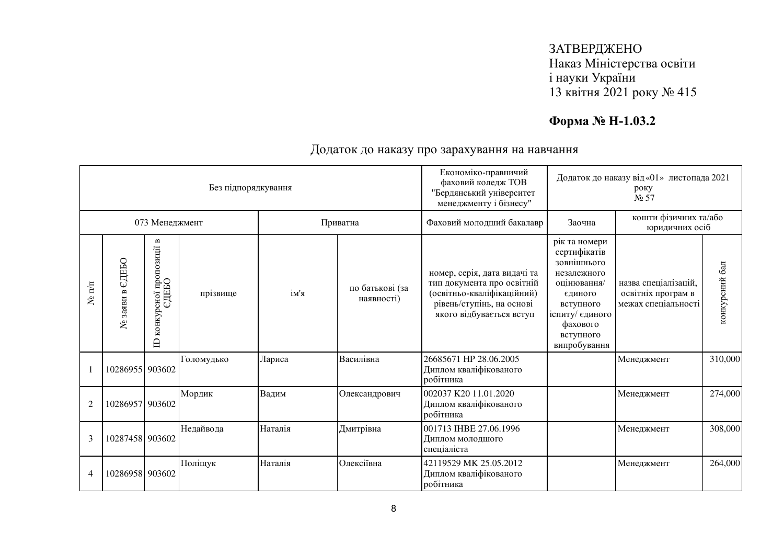# **Форма № Н-1.03.2**

|                  |                    |                                                                          | Без підпорядкування |         |                               | Економіко-правничий<br>фаховий коледж ТОВ<br>"Бердянський університет<br>менеджменту і бізнесу"                                                   | Додаток до наказу від «01» листопада 2021<br>року<br>$N0$ 57                                                                                                   |                                                                   |                      |
|------------------|--------------------|--------------------------------------------------------------------------|---------------------|---------|-------------------------------|---------------------------------------------------------------------------------------------------------------------------------------------------|----------------------------------------------------------------------------------------------------------------------------------------------------------------|-------------------------------------------------------------------|----------------------|
|                  |                    | 073 Менеджмент                                                           |                     |         | Приватна                      | Фаховий молодший бакалавр                                                                                                                         | Заочна                                                                                                                                                         | кошти фізичних та/або<br>юридичних осіб                           |                      |
| $\mathbf{N}$ π/π | СДЕБО<br>№ заяви в | $\mathbf{m}$<br>рсної пропозиції в<br>ЄДЕБО<br>конкурсної<br>$\triangle$ | прізвище            | ім'я    | по батькові (за<br>наявності) | номер, серія, дата видачі та<br>тип документа про освітній<br>(освітньо-кваліфікаційний)<br>рівень/ступінь, на основі<br>якого відбувається вступ | рік та номери<br>сертифікатів<br>зовнішнього<br>незалежного<br>оцінювання/<br>єдиного<br>вступного<br>іспиту/ єдиного<br>фахового<br>вступного<br>випробування | назва спеціалізацій,<br>освітніх програм в<br>межах спеціальності | $6a$ л<br>конкурсний |
|                  | 10286955 903602    |                                                                          | Голомудько          | Лариса  | Василівна                     | 26685671 HP 28.06.2005<br>Диплом кваліфікованого<br>робітника                                                                                     |                                                                                                                                                                | Менеджмент                                                        | 310,000              |
| $\overline{2}$   | 10286957 903602    |                                                                          | Мордик              | Вадим   | Олександрович                 | 002037 K20 11.01.2020<br>Диплом кваліфікованого<br>робітника                                                                                      |                                                                                                                                                                | Менеджмент                                                        | 274,000              |
| 3                | 10287458 903602    |                                                                          | Недайвода           | Наталія | Дмитрівна                     | 001713 IHBE 27.06.1996<br>Диплом молодшого<br>спеціаліста                                                                                         |                                                                                                                                                                | Менеджмент                                                        | 308,000              |
| $\overline{4}$   | 10286958 903602    |                                                                          | Поліщук             | Наталія | Олексіївна                    | 42119529 MK 25.05.2012<br>Диплом кваліфікованого<br>робітника                                                                                     |                                                                                                                                                                | Менеджмент                                                        | 264,000              |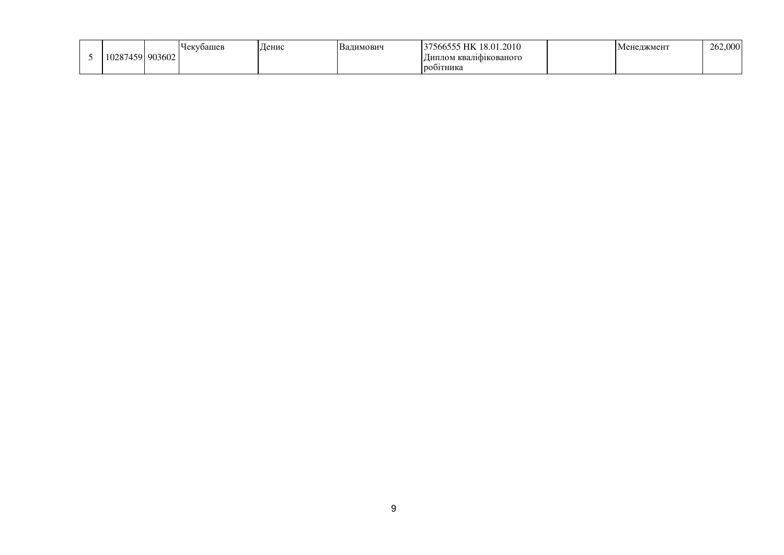|       |        | √оашев<br>1V. | Денис | ДИМОВИЧ<br>Ва<br>,,,, | 1.2010<br>$\mathbf{r}$<br>ანნაა<br>$\Omega_{\rm{eff}}$ | енеджмент | 262,0<br>$\Omega$<br>vv. |
|-------|--------|---------------|-------|-----------------------|--------------------------------------------------------|-----------|--------------------------|
| 10287 | 903602 |               |       |                       | і кваліфікованого<br>Типлом                            |           |                          |
|       |        |               |       |                       | робитника                                              |           |                          |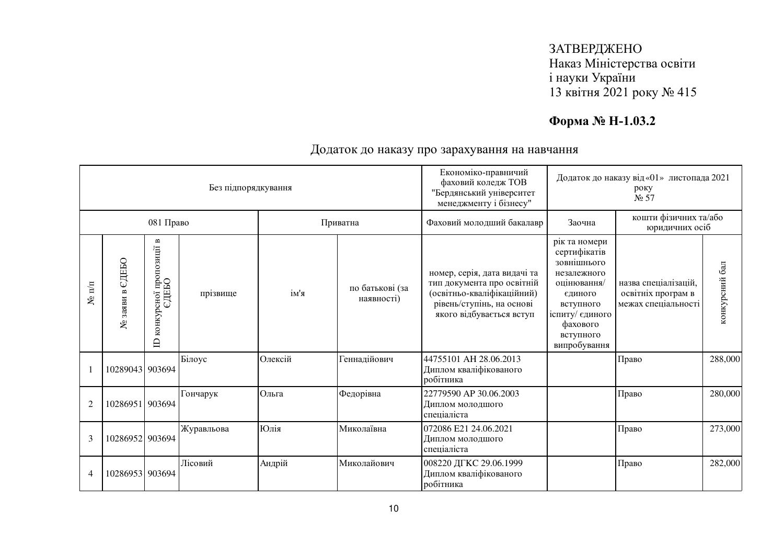# **Форма № Н-1.03.2**

|                  |                    |                                                                     | Без підпорядкування |          |                               | Економіко-правничий<br>фаховий коледж ТОВ<br>"Бердянський університет<br>менеджменту і бізнесу"                                                   | Додаток до наказу від «01» листопада 2021<br>року<br>N <sub>2</sub> 57                                                                                         |                                                                   |                |
|------------------|--------------------|---------------------------------------------------------------------|---------------------|----------|-------------------------------|---------------------------------------------------------------------------------------------------------------------------------------------------|----------------------------------------------------------------------------------------------------------------------------------------------------------------|-------------------------------------------------------------------|----------------|
|                  |                    | 081 Право                                                           |                     | Приватна |                               | Фаховий молодший бакалавр                                                                                                                         | Заочна                                                                                                                                                         | кошти фізичних та/або<br>юридичних осіб                           |                |
| $\mathbf{N}$ π/π | едньо<br>№ заяви в | $\mathbf{m}$<br>рсноі пропозиції в<br>ЄДЕБО<br>конкурсної<br>$\Box$ | прізвище            | ім'я     | по батькові (за<br>наявності) | номер, серія, дата видачі та<br>тип документа про освітній<br>(освітньо-кваліфікаційний)<br>рівень/ступінь, на основі<br>якого відбувається вступ | рік та номери<br>сертифікатів<br>зовнішнього<br>незалежного<br>оцінювання/<br>єдиного<br>вступного<br>іспиту/ єдиного<br>фахового<br>вступного<br>випробування | назва спеціалізацій,<br>освітніх програм в<br>межах спеціальності | конкурсний бал |
|                  | 10289043 903694    |                                                                     | Білоус              | Олексій  | Геннадійович                  | 44755101 AH 28.06.2013<br>Диплом кваліфікованого<br>робітника                                                                                     |                                                                                                                                                                | Право                                                             | 288,000        |
| $\overline{2}$   | 10286951 903694    |                                                                     | Гончарук            | Ольга    | Федорівна                     | 22779590 AP 30.06.2003<br>Диплом молодшого<br>спеціаліста                                                                                         |                                                                                                                                                                | Право                                                             | 280,000        |
| 3                | 10286952 903694    |                                                                     | Журавльова          | Юлія     | Миколаївна                    | 072086 E21 24.06.2021<br>Диплом молодшого<br>спеціаліста                                                                                          |                                                                                                                                                                | Право                                                             | 273,000        |
| $\overline{4}$   | 10286953 903694    |                                                                     | Лісовий             | Андрій   | Миколайович                   | 008220 ДГКС 29.06.1999<br>Диплом кваліфікованого<br>робітника                                                                                     |                                                                                                                                                                | Право                                                             | 282,000        |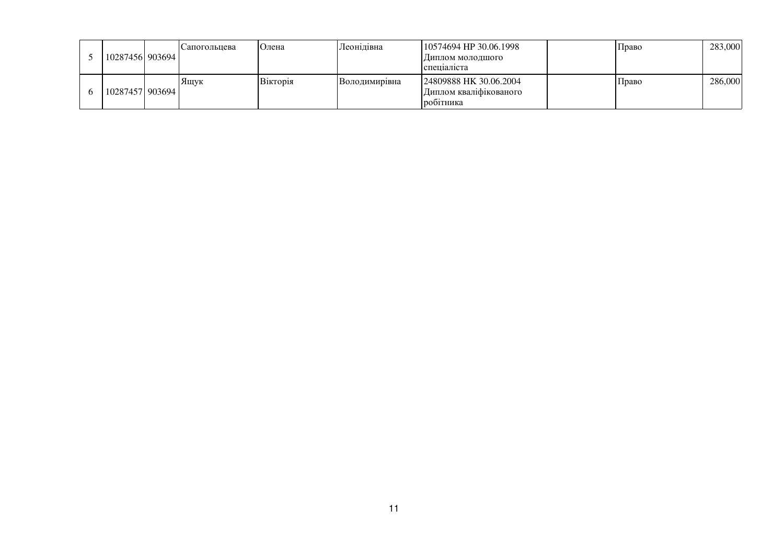|  | 10287456  903694  | Сапогольнева | Олена    | Леонідівна    | 10574694 HP 30.06.1998<br> Диплом молодшого<br>спешаліста     | Право | 283,000 |
|--|-------------------|--------------|----------|---------------|---------------------------------------------------------------|-------|---------|
|  | 10287457   903694 | Яшук         | Вікторія | Володимирівна | 24809888 HK 30.06.2004<br>Диплом кваліфікованого<br>робитника | Право | 286,000 |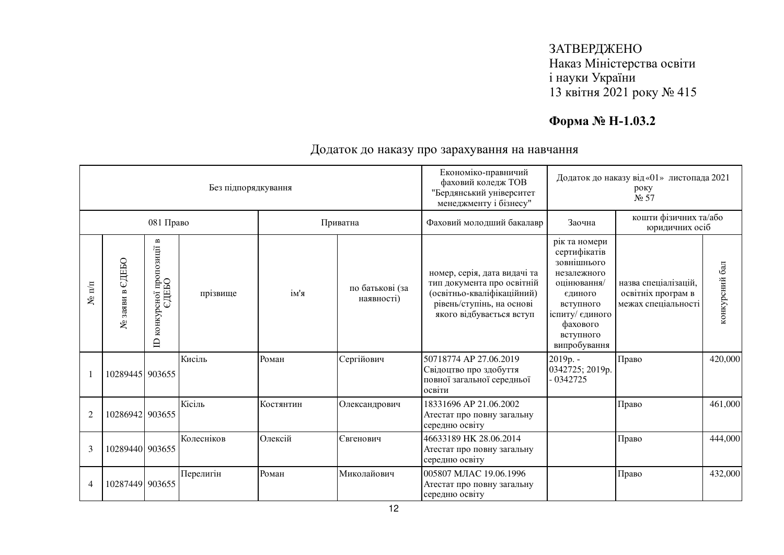# **Форма № Н-1.03.2**

| Без підпорядкування |                       |                                                                          |            |           |                               | Економіко-правничий<br>фаховий коледж ТОВ<br>"Бердянський університет<br>менеджменту і бізнесу"                                                   | Додаток до наказу від «01» листопада 2021<br>року<br>N <sub>2</sub> 57                                                                                         |                                                                   |                |
|---------------------|-----------------------|--------------------------------------------------------------------------|------------|-----------|-------------------------------|---------------------------------------------------------------------------------------------------------------------------------------------------|----------------------------------------------------------------------------------------------------------------------------------------------------------------|-------------------------------------------------------------------|----------------|
| 081 Право           |                       |                                                                          |            | Приватна  |                               | Фаховий молодший бакалавр                                                                                                                         | Заочна                                                                                                                                                         | кошти фізичних та/або<br>юридичних осіб                           |                |
| $N$ π/π             | едеьо<br>заяви в<br>٤ | $\mathbf{m}$<br>рсної пропозиції н<br>ЄДЕБО<br>конкурсної<br>$\triangle$ | прізвище   | ім'я      | по батькові (за<br>наявності) | номер, серія, дата видачі та<br>тип документа про освітній<br>(освітньо-кваліфікаційний)<br>рівень/ступінь, на основі<br>якого відбувається вступ | рік та номери<br>сертифікатів<br>зовнішнього<br>незалежного<br>оцінювання/<br>єдиного<br>вступного<br>іспиту/ єдиного<br>фахового<br>вступного<br>випробування | назва спеціалізацій,<br>освітніх програм в<br>межах спеціальності | конкурсний бал |
|                     | 10289445 903655       |                                                                          | Кисіль     | Роман     | Сергійович                    | 50718774 AP 27.06.2019<br>Свідоцтво про здобуття<br>повної загальної середньої<br>освіти                                                          | 2019p. -<br>0342725; 2019p.<br>$-0342725$                                                                                                                      | Право                                                             | 420,000        |
| $\overline{2}$      | 10286942 903655       |                                                                          | Кісіль     | Костянтин | Олександрович                 | 18331696 AP 21.06.2002<br>Атестат про повну загальну<br>середню освіту                                                                            |                                                                                                                                                                | Право                                                             | 461,000        |
| 3                   | 10289440 903655       |                                                                          | Колесніков | Олексій   | Євгенович                     | 46633189 HK 28.06.2014<br>Атестат про повну загальну<br>середню освіту                                                                            |                                                                                                                                                                | Право                                                             | 444,000        |
| $\overline{4}$      | 10287449 903655       |                                                                          | Перелигін  | Роман     | Миколайович                   | 005807 МЛАС 19.06.1996<br>Атестат про повну загальну<br>середню освіту                                                                            |                                                                                                                                                                | Право                                                             | 432,000        |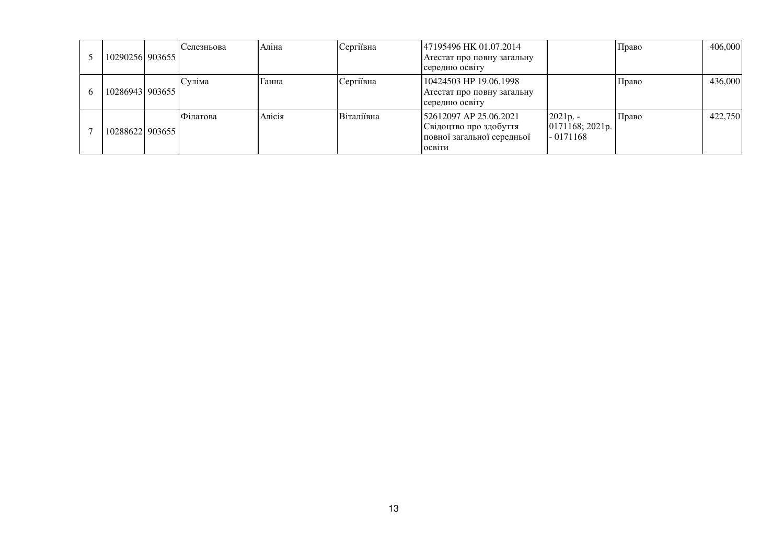| 1029025619036551 | Селезньова | Аліна  | Сергіївна  | 47195496 HK 01.07.2014<br>Атестат про повну загальну<br>середню освіту                   |                                             | Право | 406,000 |
|------------------|------------|--------|------------|------------------------------------------------------------------------------------------|---------------------------------------------|-------|---------|
| 1028694319036551 | Суліма     | l анна | Сергіївна  | 10424503 HP 19.06.1998<br>Атестат про повну загальну<br>середню освіту                   |                                             | Право | 436,000 |
| 10288622 903655  | Філатова   | Алісія | Віталіївна | 52612097 AP 25.06.2021<br>Свідоцтво про здобуття<br>повної загальної середньої<br>ОСВІТИ | $2021p. -$<br>0171168; 2021p.<br>$-0171168$ | Право | 422,750 |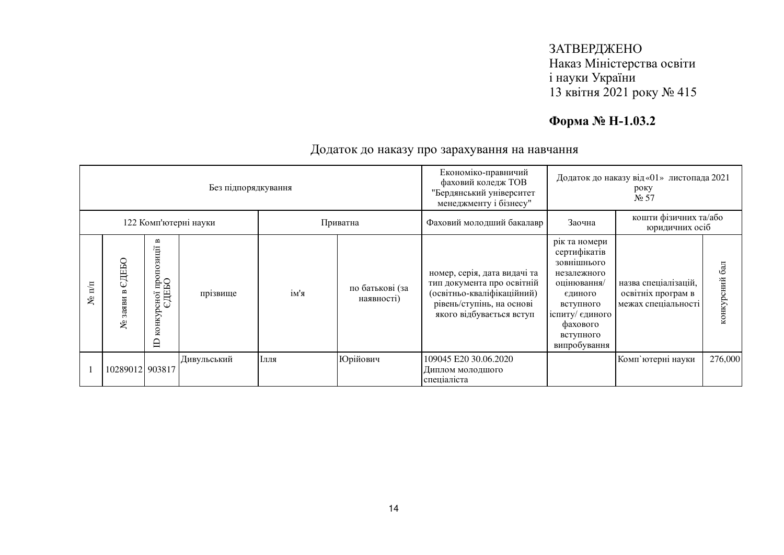# **Форма № Н-1.03.2**

| Без підпорядкування   |                     |                                                     |             |      |                                       | Економіко-правничий<br>фаховий коледж ТОВ<br>"Бердянський університет<br>менеджменту і бізнесу"                                                   | Додаток до наказу від «01» листопада 2021<br>року<br>N <sub>2</sub> 57                                                                                         |                                                                   |                  |
|-----------------------|---------------------|-----------------------------------------------------|-------------|------|---------------------------------------|---------------------------------------------------------------------------------------------------------------------------------------------------|----------------------------------------------------------------------------------------------------------------------------------------------------------------|-------------------------------------------------------------------|------------------|
| 122 Комп'ютерні науки |                     |                                                     |             |      | Фаховий молодший бакалавр<br>Приватна |                                                                                                                                                   | кошти фізичних та/або<br>Заочна<br>юридичних осіб                                                                                                              |                                                                   |                  |
| $\mathbf{m}$<br>g     | СДЕБО<br>заяви<br>ع | B<br>рсно1 пропозиції і<br>ЄДЕБО<br>конкурсної<br>≘ | прізвище    | ім'я | по батькові (за<br>наявності)         | номер, серія, дата видачі та<br>тип документа про освітній<br>(освітньо-кваліфікаційний)<br>рівень/ступінь, на основі<br>якого відбувається вступ | рік та номери<br>сертифікатів<br>зовнішнього<br>незалежного<br>оцінювання/<br>єдиного<br>вступного<br>іспиту/ єдиного<br>фахового<br>вступного<br>випробування | назва спеціалізацій,<br>освітніх програм в<br>межах спеціальності | 6a<br>конкурсний |
|                       | 10289012 903817     |                                                     | Дивульський | Ілля | Юрійович                              | 109045 E20 30.06.2020<br>Диплом молодшого<br>спеціаліста                                                                                          |                                                                                                                                                                | Комп'ютерні науки                                                 | 276,000          |